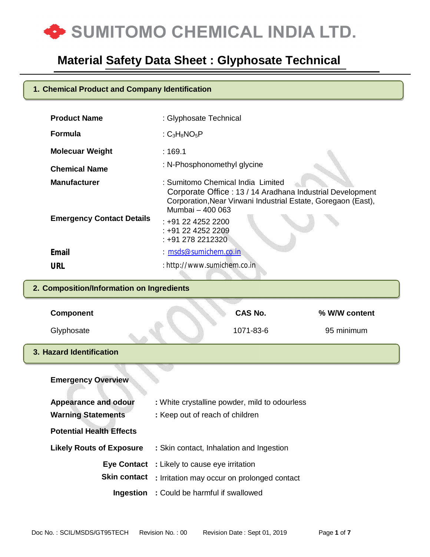

### **1. Chemical Product and Company Identification**

| <b>Product Name</b>                       | : Glyphosate Technical                                                                                                                                                              |                |               |  |
|-------------------------------------------|-------------------------------------------------------------------------------------------------------------------------------------------------------------------------------------|----------------|---------------|--|
| <b>Formula</b>                            | : $C_3H_8NO_5P$                                                                                                                                                                     |                |               |  |
| <b>Molecuar Weight</b>                    | : 169.1                                                                                                                                                                             |                |               |  |
| <b>Chemical Name</b>                      | : N-Phosphonomethyl glycine                                                                                                                                                         |                |               |  |
| <b>Manufacturer</b>                       | : Sumitomo Chemical India Limited<br>Corporate Office: 13 / 14 Aradhana Industrial Development<br>Corporation, Near Virwani Industrial Estate, Goregaon (East),<br>Mumbai - 400 063 |                |               |  |
| <b>Emergency Contact Details</b>          | $: +912242522200$<br>: +91 22 4252 2209<br>: +91 278 2212320                                                                                                                        |                |               |  |
| <b>Email</b>                              | : msds@sumichem.co.in                                                                                                                                                               |                |               |  |
| <b>URL</b>                                | : http://www.sumichem.co.in                                                                                                                                                         |                |               |  |
| 2. Composition/Information on Ingredients |                                                                                                                                                                                     |                |               |  |
| <b>Component</b>                          |                                                                                                                                                                                     | <b>CAS No.</b> | % W/W content |  |
| Glyphosate                                |                                                                                                                                                                                     | 1071-83-6      | 95 minimum    |  |
| 3. Hazard Identification                  |                                                                                                                                                                                     |                |               |  |
| <b>Emergency Overview</b>                 |                                                                                                                                                                                     |                |               |  |
| <b>Appearance and odour</b>               | : White crystalline powder, mild to odourless                                                                                                                                       |                |               |  |
| <b>Warning Statements</b>                 | : Keep out of reach of children                                                                                                                                                     |                |               |  |
| <b>Potential Health Effects</b>           |                                                                                                                                                                                     |                |               |  |

| FUICHINAI FICANT EIICUIS        |                                                                                                                        |
|---------------------------------|------------------------------------------------------------------------------------------------------------------------|
| <b>Likely Routs of Exposure</b> | : Skin contact, Inhalation and Ingestion                                                                               |
|                                 | <b>Eye Contact</b> : Likely to cause eye irritation<br><b>Skin contact</b> : Irritation may occur on prolonged contact |
|                                 |                                                                                                                        |

**Ingestion :** Could be harmful if swallowed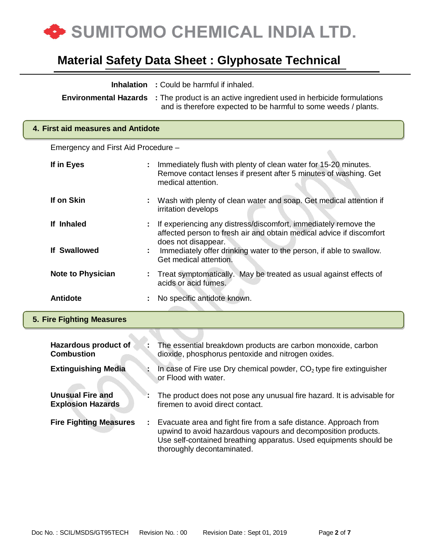

| <b>Environmental Hazards</b>                        |   | <b>Inhalation</b> : Could be harmful if inhaled.<br>: The product is an active ingredient used in herbicide formulations<br>and is therefore expected to be harmful to some weeds / plants.                                          |  |
|-----------------------------------------------------|---|--------------------------------------------------------------------------------------------------------------------------------------------------------------------------------------------------------------------------------------|--|
| 4. First aid measures and Antidote                  |   |                                                                                                                                                                                                                                      |  |
| Emergency and First Aid Procedure -                 |   |                                                                                                                                                                                                                                      |  |
| If in Eyes                                          |   | Immediately flush with plenty of clean water for 15-20 minutes.<br>Remove contact lenses if present after 5 minutes of washing. Get<br>medical attention.                                                                            |  |
| If on Skin                                          |   | Wash with plenty of clean water and soap. Get medical attention if<br>irritation develops                                                                                                                                            |  |
| If Inhaled                                          |   | If experiencing any distress/discomfort, immediately remove the<br>affected person to fresh air and obtain medical advice if discomfort<br>does not disappear.                                                                       |  |
| <b>If Swallowed</b>                                 |   | Immediately offer drinking water to the person, if able to swallow.<br>Get medical attention.                                                                                                                                        |  |
| <b>Note to Physician</b>                            |   | Treat symptomatically. May be treated as usual against effects of<br>acids or acid fumes.                                                                                                                                            |  |
| <b>Antidote</b>                                     |   | No specific antidote known.                                                                                                                                                                                                          |  |
| 5. Fire Fighting Measures                           |   |                                                                                                                                                                                                                                      |  |
| Hazardous product of<br><b>Combustion</b>           |   | The essential breakdown products are carbon monoxide, carbon<br>dioxide, phosphorus pentoxide and nitrogen oxides.                                                                                                                   |  |
| <b>Extinguishing Media</b>                          |   | In case of Fire use Dry chemical powder, $CO2$ type fire extinguisher<br>or Flood with water.                                                                                                                                        |  |
| <b>Unusual Fire and</b><br><b>Explosion Hazards</b> |   | The product does not pose any unusual fire hazard. It is advisable for<br>firemen to avoid direct contact.                                                                                                                           |  |
| <b>Fire Fighting Measures</b>                       | ÷ | Evacuate area and fight fire from a safe distance. Approach from<br>upwind to avoid hazardous vapours and decomposition products.<br>Use self-contained breathing apparatus. Used equipments should be<br>thoroughly decontaminated. |  |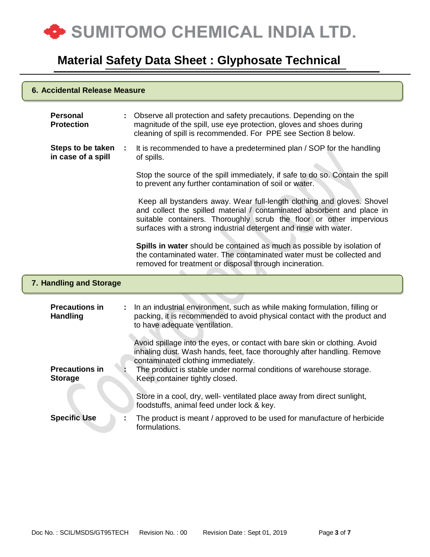

#### **6. Accidental Release Measure**

| <b>Personal</b><br><b>Protection</b>     |    | Observe all protection and safety precautions. Depending on the<br>magnitude of the spill, use eye protection, gloves and shoes during<br>cleaning of spill is recommended. For PPE see Section 8 below.                                                                                     |
|------------------------------------------|----|----------------------------------------------------------------------------------------------------------------------------------------------------------------------------------------------------------------------------------------------------------------------------------------------|
| Steps to be taken<br>in case of a spill  | ÷  | It is recommended to have a predetermined plan / SOP for the handling<br>of spills.                                                                                                                                                                                                          |
|                                          |    | Stop the source of the spill immediately, if safe to do so. Contain the spill<br>to prevent any further contamination of soil or water.                                                                                                                                                      |
|                                          |    | Keep all bystanders away. Wear full-length clothing and gloves. Shovel<br>and collect the spilled material / contaminated absorbent and place in<br>suitable containers. Thoroughly scrub the floor or other impervious<br>surfaces with a strong industrial detergent and rinse with water. |
|                                          |    | Spills in water should be contained as much as possible by isolation of<br>the contaminated water. The contaminated water must be collected and<br>removed for treatment or disposal through incineration.                                                                                   |
| 7. Handling and Storage                  |    |                                                                                                                                                                                                                                                                                              |
| <b>Precautions in</b><br><b>Handling</b> | ÷. | In an industrial environment, such as while making formulation, filling or<br>packing, it is recommended to avoid physical contact with the product and<br>to have adequate ventilation.                                                                                                     |
| <b>Precautions in</b>                    |    | Avoid spillage into the eyes, or contact with bare skin or clothing. Avoid<br>inhaling dust. Wash hands, feet, face thoroughly after handling. Remove<br>contaminated clothing immediately.<br>The product is stable under normal conditions of warehouse storage.                           |
| <b>Storage</b>                           |    | Keep container tightly closed.                                                                                                                                                                                                                                                               |
|                                          |    | Store in a cool, dry, well- ventilated place away from direct sunlight,<br>foodstuffs, animal feed under lock & key.                                                                                                                                                                         |
| <b>Specific Use</b>                      |    | The product is meant / approved to be used for manufacture of herbicide<br>formulations.                                                                                                                                                                                                     |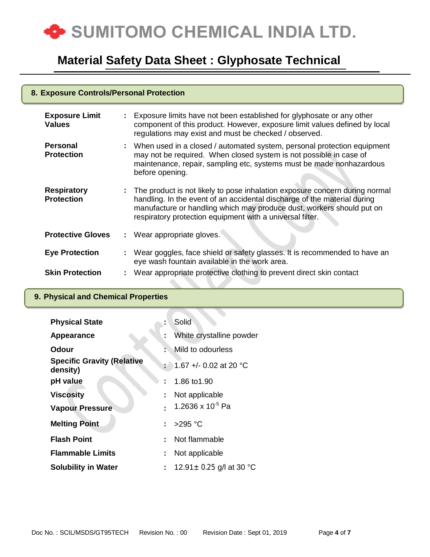

### **8. Exposure Controls/Personal Protection**

| <b>Exposure Limit</b><br><b>Values</b>  |    | Exposure limits have not been established for glyphosate or any other<br>component of this product. However, exposure limit values defined by local<br>regulations may exist and must be checked / observed.                                                                                    |
|-----------------------------------------|----|-------------------------------------------------------------------------------------------------------------------------------------------------------------------------------------------------------------------------------------------------------------------------------------------------|
| <b>Personal</b><br><b>Protection</b>    |    | : When used in a closed / automated system, personal protection equipment<br>may not be required. When closed system is not possible in case of<br>maintenance, repair, sampling etc, systems must be made nonhazardous<br>before opening.                                                      |
| <b>Respiratory</b><br><b>Protection</b> |    | : The product is not likely to pose inhalation exposure concern during normal<br>handling. In the event of an accidental discharge of the material during<br>manufacture or handling which may produce dust, workers should put on<br>respiratory protection equipment with a universal filter. |
| <b>Protective Gloves</b>                |    | : Wear appropriate gloves.                                                                                                                                                                                                                                                                      |
| <b>Eye Protection</b>                   | ÷. | Wear goggles, face shield or safety glasses. It is recommended to have an<br>eye wash fountain available in the work area.                                                                                                                                                                      |
| <b>Skin Protection</b>                  |    | Wear appropriate protective clothing to prevent direct skin contact                                                                                                                                                                                                                             |

### **9. Physical and Chemical Properties**

| <b>Physical State</b>                         |    | Solid                           |
|-----------------------------------------------|----|---------------------------------|
| Appearance                                    | ÷  | White crystalline powder        |
| Odour                                         | K  | Mild to odourless               |
| <b>Specific Gravity (Relative</b><br>density) |    | $\div$ 1.67 +/- 0.02 at 20 °C   |
| pH value                                      |    | 1.86 to 1.90                    |
| <b>Viscosity</b>                              | ÷. | Not applicable                  |
| <b>Vapour Pressure</b>                        |    | 1.2636 x $10^{-5}$ Pa           |
| <b>Melting Point</b>                          |    | : >295 °C                       |
| <b>Flash Point</b>                            |    | Not flammable                   |
| <b>Flammable Limits</b>                       | t. | Not applicable                  |
| <b>Solubility in Water</b>                    |    | : 12.91 $\pm$ 0.25 g/l at 30 °C |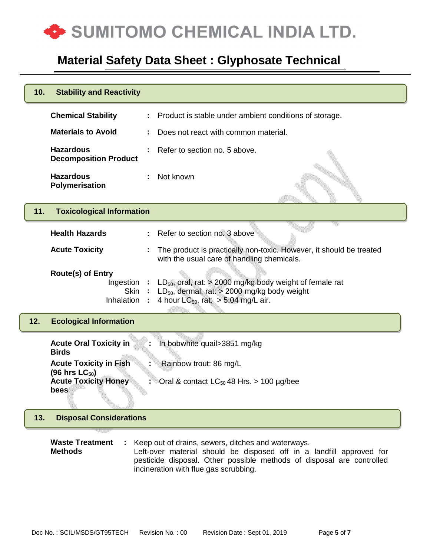

| 10. | <b>Stability and Reactivity</b>                                                                                                                                                                                                                                                          |                                                                                                                                                                  |  |  |
|-----|------------------------------------------------------------------------------------------------------------------------------------------------------------------------------------------------------------------------------------------------------------------------------------------|------------------------------------------------------------------------------------------------------------------------------------------------------------------|--|--|
|     | <b>Chemical Stability</b>                                                                                                                                                                                                                                                                | Product is stable under ambient conditions of storage.                                                                                                           |  |  |
|     | <b>Materials to Avoid</b>                                                                                                                                                                                                                                                                | Does not react with common material.                                                                                                                             |  |  |
|     | <b>Hazardous</b><br><b>Decomposition Product</b>                                                                                                                                                                                                                                         | Refer to section no. 5 above.                                                                                                                                    |  |  |
|     | <b>Hazardous</b><br>Polymerisation                                                                                                                                                                                                                                                       | Not known                                                                                                                                                        |  |  |
| 11. | <b>Toxicological Information</b>                                                                                                                                                                                                                                                         |                                                                                                                                                                  |  |  |
|     | <b>Health Hazards</b>                                                                                                                                                                                                                                                                    | Refer to section no. 3 above<br>$\mathbb{Z}^{\mathbb{Z}}$                                                                                                        |  |  |
|     | <b>Acute Toxicity</b>                                                                                                                                                                                                                                                                    | The product is practically non-toxic. However, it should be treated<br>with the usual care of handling chemicals.                                                |  |  |
|     | <b>Route(s) of Entry</b><br>Ingestion :<br>Skin<br><b>Inhalation</b>                                                                                                                                                                                                                     | $LD_{50}$ , oral, rat: > 2000 mg/kg body weight of female rat<br>$LD_{50}$ , dermal, rat: > 2000 mg/kg body weight<br>4 hour $LC_{50}$ , rat: $> 5.04$ mg/L air. |  |  |
| 12. | <b>Ecological Information</b>                                                                                                                                                                                                                                                            |                                                                                                                                                                  |  |  |
|     | <b>Acute Oral Toxicity in</b><br><b>Birds</b>                                                                                                                                                                                                                                            | In bobwhite quail>3851 mg/kg                                                                                                                                     |  |  |
|     | <b>Acute Toxicity in Fish</b><br>(96 hrs $LC_{50}$ )                                                                                                                                                                                                                                     | Rainbow trout: 86 mg/L                                                                                                                                           |  |  |
|     | <b>Acute Toxicity Honey</b><br>bees                                                                                                                                                                                                                                                      | Oral & contact $LC_{50}$ 48 Hrs. > 100 µg/bee                                                                                                                    |  |  |
| 13. | <b>Disposal Considerations</b>                                                                                                                                                                                                                                                           |                                                                                                                                                                  |  |  |
|     | <b>Waste Treatment</b><br>Keep out of drains, sewers, ditches and waterways.<br><b>Methods</b><br>Left-over material should be disposed off in a landfill approved for<br>pesticide disposal. Other possible methods of disposal are controlled<br>incineration with flue gas scrubbing. |                                                                                                                                                                  |  |  |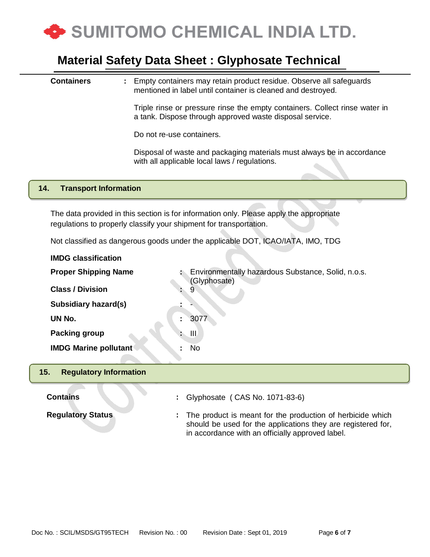

**Containers :** Empty containers may retain product residue. Observe all safeguards mentioned in label until container is cleaned and destroyed.

> Triple rinse or pressure rinse the empty containers. Collect rinse water in a tank. Dispose through approved waste disposal service.

Do not re-use containers.

Disposal of waste and packaging materials must always be in accordance with all applicable local laws / regulations.

#### **14. Transport Information**

The data provided in this section is for information only. Please apply the appropriate regulations to properly classify your shipment for transportation.

Not classified as dangerous goods under the applicable DOT, ICAO/IATA, IMO, TDG

| <b>IMDG classification</b>           |                                                                    |
|--------------------------------------|--------------------------------------------------------------------|
| <b>Proper Shipping Name</b>          | Environmentally hazardous Substance, Solid, n.o.s.<br>(Glyphosate) |
| <b>Class / Division</b>              | 9                                                                  |
| Subsidiary hazard(s)                 |                                                                    |
| UN No.                               | 3077<br>٠                                                          |
| <b>Packing group</b>                 | ШJ<br>Ł.                                                           |
| <b>IMDG Marine pollutant®</b>        | No<br>٠                                                            |
|                                      |                                                                    |
| 15.<br><b>Regulatory Information</b> |                                                                    |
| <b>Contains</b>                      | Glyphosate (CAS No. 1071-83-6)<br>t.                               |
| <b>Regulatory Status</b>             | The product is meant for the production of herbicide which<br>÷.   |

should be used for the applications they are registered for,

in accordance with an officially approved label.